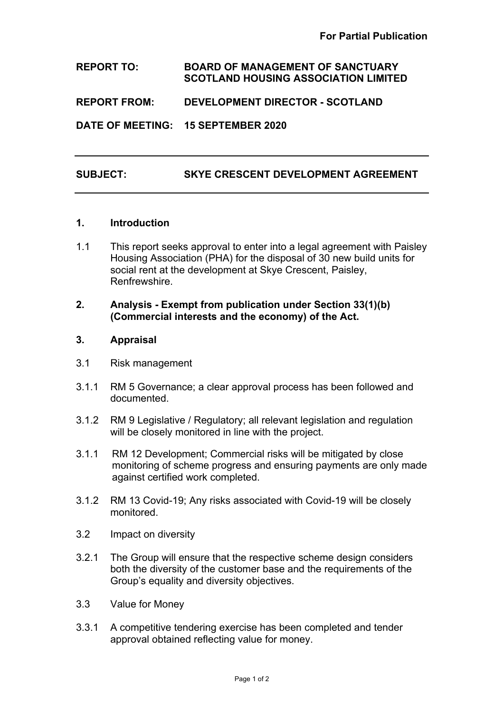## **REPORT TO: BOARD OF MANAGEMENT OF SANCTUARY SCOTLAND HOUSING ASSOCIATION LIMITED**

**REPORT FROM: DEVELOPMENT DIRECTOR - SCOTLAND**

**DATE OF MEETING: 15 SEPTEMBER 2020**

# **SUBJECT: SKYE CRESCENT DEVELOPMENT AGREEMENT**

### **1. Introduction**

1.1 This report seeks approval to enter into a legal agreement with Paisley Housing Association (PHA) for the disposal of 30 new build units for social rent at the development at Skye Crescent, Paisley, **Renfrewshire** 

### **2. Analysis - Exempt from publication under Section 33(1)(b) (Commercial interests and the economy) of the Act.**

#### **3. Appraisal**

- 3.1 Risk management
- 3.1.1 RM 5 Governance; a clear approval process has been followed and documented.
- 3.1.2 RM 9 Legislative / Regulatory; all relevant legislation and regulation will be closely monitored in line with the project.
- 3.1.1 RM 12 Development; Commercial risks will be mitigated by close monitoring of scheme progress and ensuring payments are only made against certified work completed.
- 3.1.2 RM 13 Covid-19; Any risks associated with Covid-19 will be closely monitored.
- 3.2 Impact on diversity
- 3.2.1 The Group will ensure that the respective scheme design considers both the diversity of the customer base and the requirements of the Group's equality and diversity objectives.
- 3.3 Value for Money
- 3.3.1 A competitive tendering exercise has been completed and tender approval obtained reflecting value for money.